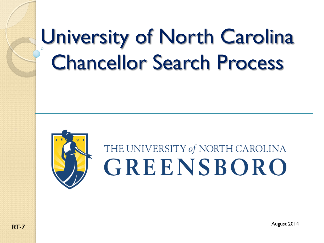# University of North Carolina Chancellor Search Process



### THE UNIVERSITY of NORTH CAROLINA GREENSBORO

August 2014 **RT-7**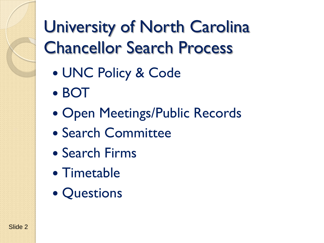### University of North Carolina Chancellor Search Process

- UNC Policy & Code
- BOT
- Open Meetings/Public Records
- Search Committee
- Search Firms
- Timetable
- Questions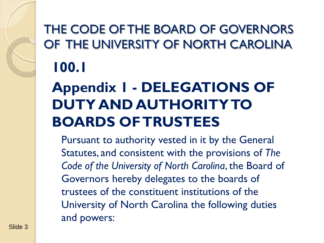#### THE CODE OF THE BOARD OF GOVERNORS OF THE UNIVERSITY OF NORTH CAROLINA **100.1**

### **Appendix 1 - DELEGATIONS OF DUTY AND AUTHORITY TO BOARDS OF TRUSTEES**

Pursuant to authority vested in it by the General Statutes, and consistent with the provisions of *The Code of the University of North Carolina*, the Board of Governors hereby delegates to the boards of trustees of the constituent institutions of the University of North Carolina the following duties and powers: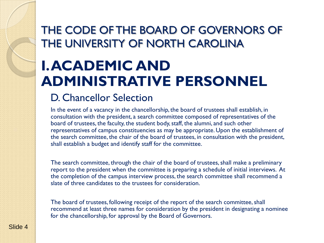#### THE CODE OF THE BOARD OF GOVERNORS OF THE UNIVERSITY OF NORTH CAROLINA

### **I. ACADEMIC AND ADMINISTRATIVE PERSONNEL**

#### D. Chancellor Selection

In the event of a vacancy in the chancellorship, the board of trustees shall establish, in consultation with the president, a search committee composed of representatives of the board of trustees, the faculty, the student body, staff, the alumni, and such other representatives of campus constituencies as may be appropriate. Upon the establishment of the search committee, the chair of the board of trustees, in consultation with the president, shall establish a budget and identify staff for the committee.

The search committee, through the chair of the board of trustees, shall make a preliminary report to the president when the committee is preparing a schedule of initial interviews. At the completion of the campus interview process, the search committee shall recommend a slate of three candidates to the trustees for consideration.

The board of trustees, following receipt of the report of the search committee, shall recommend at least three names for consideration by the president in designating a nominee for the chancellorship, for approval by the Board of Governors.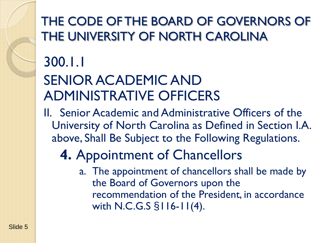#### THE CODE OF THE BOARD OF GOVERNORS OF THE UNIVERSITY OF NORTH CAROLINA

## 300.1.1

#### SENIOR ACADEMIC AND ADMINISTRATIVE OFFICERS

II. Senior Academic and Administrative Officers of the University of North Carolina as Defined in Section I.A. above, Shall Be Subject to the Following Regulations.

### **4.** Appointment of Chancellors

a. The appointment of chancellors shall be made by the Board of Governors upon the recommendation of the President, in accordance with N.C.G.S §116-11(4).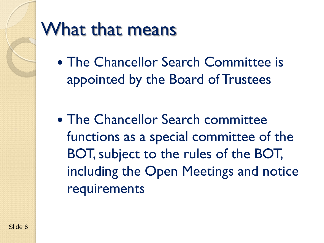

### What that means

- The Chancellor Search Committee is appointed by the Board of Trustees
- The Chancellor Search committee functions as a special committee of the BOT, subject to the rules of the BOT, including the Open Meetings and notice requirements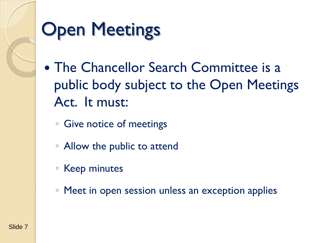# **Open Meetings**

- The Chancellor Search Committee is a public body subject to the Open Meetings Act. It must:
	- Give notice of meetings
	- Allow the public to attend
	- Keep minutes
	- Meet in open session unless an exception applies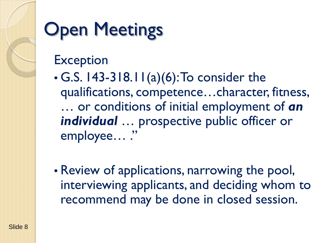# **Open Meetings**

#### **Exception**

- $\cdot$  G.S. 143-318.11(a)(6): To consider the qualifications, competence…character, fitness, … or conditions of initial employment of *an individual* … prospective public officer or employee…"
- Review of applications, narrowing the pool, interviewing applicants, and deciding whom to recommend may be done in closed session.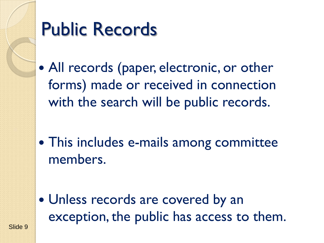

Slide 9

### Public Records

- All records (paper, electronic, or other forms) made or received in connection with the search will be public records.
- This includes e-mails among committee members.

 Unless records are covered by an exception, the public has access to them.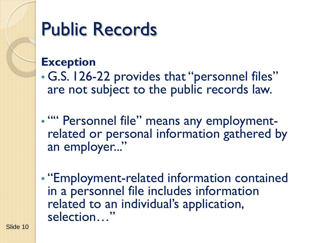### Public Records

#### **Exception**

• G.S. 126-22 provides that "personnel files" are not subject to the public records law.

• "" Personnel file" means any employment-<br>related or personal information gathered by an employer..."

• "Employment-related information contained in a personnel file includes information related to an individual's application, selection…"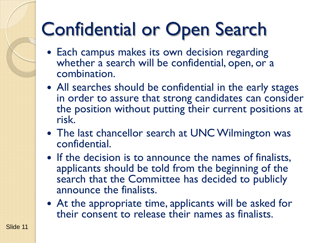# Confidential or Open Search

- Each campus makes its own decision regarding whether a search will be confidential, open, or a combination.
- All searches should be confidential in the early stages in order to assure that strong candidates can consider the position without putting their current positions at risk.
- The last chancellor search at UNC Wilmington was confidential.
- If the decision is to announce the names of finalists, applicants should be told from the beginning of the search that the Committee has decided to publicly announce the finalists.
- At the appropriate time, applicants will be asked for their consent to release their names as finalists.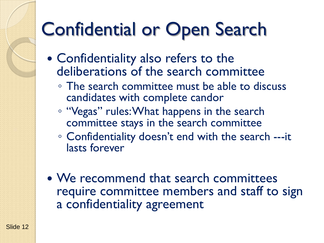# Confidential or Open Search

- Confidentiality also refers to the deliberations of the search committee
	- The search committee must be able to discuss candidates with complete candor
	- "Vegas" rules: What happens in the search committee stays in the search committee
	- Confidentiality doesn't end with the search ---it lasts forever
- We recommend that search committees require committee members and staff to sign a confidentiality agreement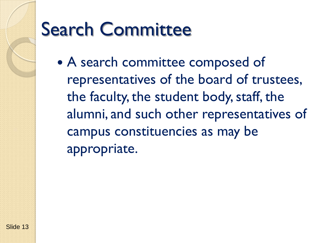## Search Committee

 A search committee composed of representatives of the board of trustees, the faculty, the student body, staff, the alumni, and such other representatives of campus constituencies as may be appropriate.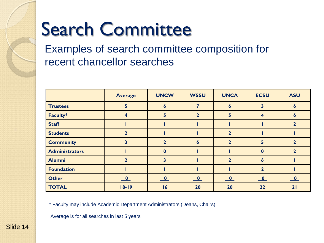# Search Committee

Examples of search committee composition for recent chancellor searches

|                       | <b>Average</b>           | <b>UNCW</b>              | <b>WSSU</b>              | <b>UNCA</b>              | <b>ECSU</b>              | <b>ASU</b>               |
|-----------------------|--------------------------|--------------------------|--------------------------|--------------------------|--------------------------|--------------------------|
| <b>Trustees</b>       | 5                        | 6                        |                          | 6                        | 3                        | $\boldsymbol{6}$         |
| Faculty*              | $\overline{\mathbf{4}}$  | 5                        | $\overline{2}$           | 5                        | 4                        | 6                        |
| <b>Staff</b>          |                          |                          |                          |                          |                          | $\overline{2}$           |
| <b>Students</b>       | $\mathbf{z}$             |                          |                          | $\overline{2}$           |                          |                          |
| <b>Community</b>      | 3                        | $\mathbf 2$              | $\boldsymbol{6}$         | 2 <sup>1</sup>           | 5                        | $\mathbf{2}$             |
| <b>Administrators</b> |                          | $\bf{0}$                 |                          |                          | $\bf{0}$                 | 2                        |
| <b>Alumni</b>         | $\mathbf{2}$             | 3                        |                          | 2 <sup>1</sup>           | 6                        |                          |
| <b>Foundation</b>     |                          |                          |                          |                          | $\mathbf{2}$             |                          |
| <b>Other</b>          | $\overline{\phantom{a}}$ | $\overline{\phantom{a}}$ | $\overline{\phantom{a}}$ | $\underline{\mathbf{0}}$ | $\underline{\mathbf{0}}$ | $\underline{\mathbf{0}}$ |
| <b>TOTAL</b>          | $18 - 19$                | 16                       | 20                       | 20                       | 22                       | 21                       |

\* Faculty may include Academic Department Administrators (Deans, Chairs)

Average is for all searches in last 5 years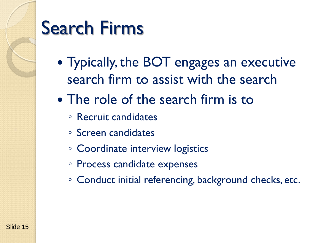### Search Firms

- Typically, the BOT engages an executive search firm to assist with the search
- The role of the search firm is to
	- Recruit candidates
	- Screen candidates
	- Coordinate interview logistics
	- Process candidate expenses
	- Conduct initial referencing, background checks, etc.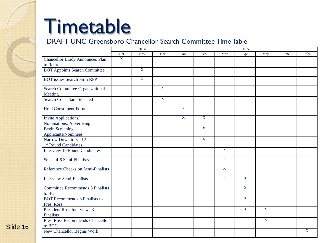# Timetable

#### DRAFT UNC Greensboro Chancellor Search Committee Time Table

|                                            | 2014           |                |                | 2015           |                |                |                         |                |      |      |
|--------------------------------------------|----------------|----------------|----------------|----------------|----------------|----------------|-------------------------|----------------|------|------|
|                                            | Oct            | <b>Nov</b>     | Dec            | Jan            | Feb            | Mar            | Apr                     | May            | June | July |
| <b>Chancellor Brady Announces Plan</b>     | $\overline{X}$ |                |                |                |                |                |                         |                |      |      |
| to Retire                                  |                |                |                |                |                |                |                         |                |      |      |
| <b>BOT Appoints Search Committee</b>       |                | $\mathbf X$    |                |                |                |                |                         |                |      |      |
| <b>BOT</b> issues Search Firm RFP          |                | $\overline{X}$ |                |                |                |                |                         |                |      |      |
| Search Committee Organizational            |                |                | $\mathbf{X}$   |                |                |                |                         |                |      |      |
| Meeting                                    |                |                |                |                |                |                |                         |                |      |      |
| <b>Search Consultant Selected</b>          |                |                | $\overline{X}$ |                |                |                |                         |                |      |      |
| <b>Hold Constituent Forums</b>             |                |                |                | $\overline{X}$ |                |                |                         |                |      |      |
| Invite Applications/                       |                |                |                | $\overline{X}$ | $\overline{X}$ |                |                         |                |      |      |
| Nominations, Advertising                   |                |                |                |                |                |                |                         |                |      |      |
| <b>Begin Screening</b>                     |                |                |                |                | $\overline{X}$ |                |                         |                |      |      |
| Applicants/Nominees                        |                |                |                |                |                |                |                         |                |      |      |
| Narrow Down to 8 - 12                      |                |                |                |                | $\overline{X}$ |                |                         |                |      |      |
| 1 <sup>st</sup> Round Candidates           |                |                |                |                |                |                |                         |                |      |      |
| Interview 1 <sup>st</sup> Round Candidates |                |                |                |                |                | $\overline{X}$ |                         |                |      |      |
| Select 4-6 Semi-Finalists                  |                |                |                |                |                | $\overline{X}$ |                         |                |      |      |
| Reference Checks on Semi-Finalists         |                |                |                |                |                | $\overline{X}$ |                         |                |      |      |
| <b>Interview Semi-Finalists</b>            |                |                |                |                |                | $\overline{X}$ | $\overline{\mathbf{x}}$ |                |      |      |
| <b>Committee Recommends 3 Finalists</b>    |                |                |                |                |                |                | $\overline{X}$          |                |      |      |
| to BOT                                     |                |                |                |                |                |                |                         |                |      |      |
| <b>BOT</b> Recommends 3 Finalists to       |                |                |                |                |                |                | $\overline{\mathbf{X}}$ |                |      |      |
| Pres. Ross                                 |                |                |                |                |                |                |                         |                |      |      |
| President Ross Interviews 3                |                |                |                |                |                |                | $\overline{X}$          | $\overline{X}$ |      |      |
| Finalists                                  |                |                |                |                |                |                |                         |                |      |      |
| Pres. Ross Recommends Chancellor           |                |                |                |                |                |                |                         | $\mathbf{X}$   |      |      |
| to BOG                                     |                |                |                |                |                |                |                         |                |      |      |
| New Chancellor Begins Work                 |                |                |                |                |                |                |                         |                |      | X    |
|                                            |                |                |                |                |                |                |                         |                |      |      |

Slide 16